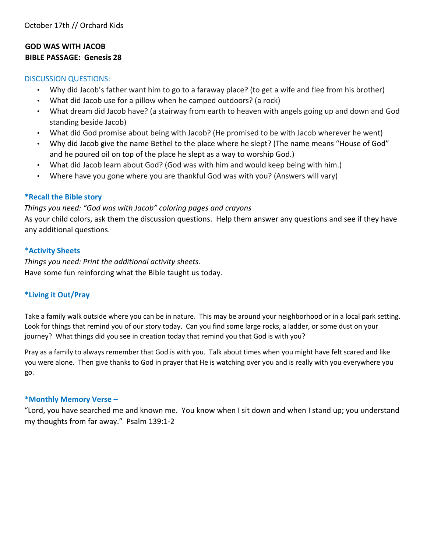#### **GOD WAS WITH JACOB BIBLE PASSAGE: Genesis 28**

#### DISCUSSION QUESTIONS:

- Why did Jacob's father want him to go to a faraway place? (to get a wife and flee from his brother)
- What did Jacob use for a pillow when he camped outdoors? (a rock)
- What dream did Jacob have? (a stairway from earth to heaven with angels going up and down and God standing beside Jacob)
- What did God promise about being with Jacob? (He promised to be with Jacob wherever he went)
- Why did Jacob give the name Bethel to the place where he slept? (The name means "House of God" and he poured oil on top of the place he slept as a way to worship God.)
- What did Jacob learn about God? (God was with him and would keep being with him.)
- Where have you gone where you are thankful God was with you? (Answers will vary)

#### **\*Recall the Bible story**

#### *Things you need: "God was with Jacob" coloring pages and crayons*

As your child colors, ask them the discussion questions. Help them answer any questions and see if they have any additional questions.

#### \***Activity Sheets**

*Things you need: Print the additional activity sheets.*  Have some fun reinforcing what the Bible taught us today.

#### **\*Living it Out/Pray**

Take a family walk outside where you can be in nature. This may be around your neighborhood or in a local park setting. Look for things that remind you of our story today. Can you find some large rocks, a ladder, or some dust on your journey? What things did you see in creation today that remind you that God is with you?

Pray as a family to always remember that God is with you. Talk about times when you might have felt scared and like you were alone. Then give thanks to God in prayer that He is watching over you and is really with you everywhere you go.

#### **\*Monthly Memory Verse –**

"Lord, you have searched me and known me. You know when I sit down and when I stand up; you understand my thoughts from far away." Psalm 139:1-2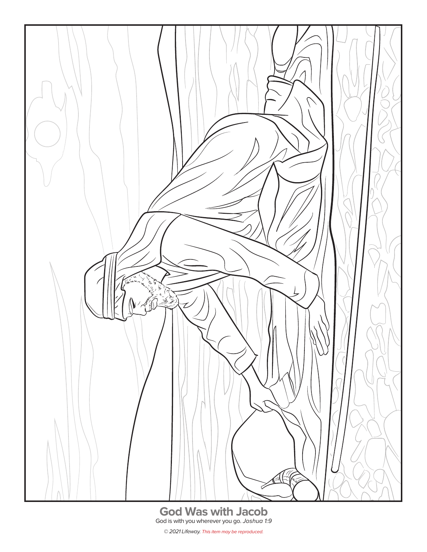

© 2021 Lifeway. This item may be reproduced.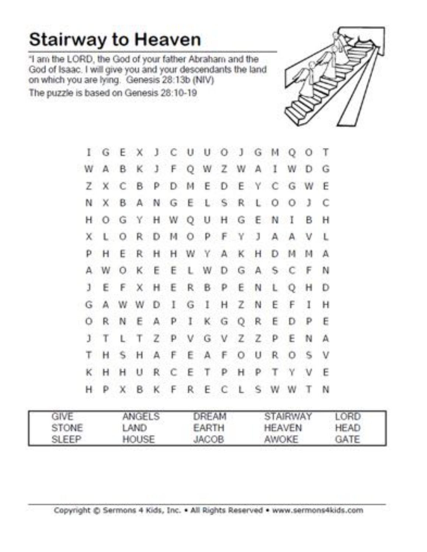# **Stairway to Heaven**

"I am the LORD, the God of your father Abraham and the<br>God of Isaac. I will give you and your descendants the land<br>on which you are lying. Genesis 28:13b (NIV) The puzzle is based on Genesis 28:10-19



|    |   |    |  |  |  | I G E X J C U U O J G M Q O T |  |  |    |
|----|---|----|--|--|--|-------------------------------|--|--|----|
|    |   |    |  |  |  | WABKJFQWZWAIWDG               |  |  |    |
|    |   |    |  |  |  | Z X C B P D M E D E Y C G W E |  |  |    |
|    |   |    |  |  |  | N X B A N G E L S R L O O J C |  |  |    |
|    |   |    |  |  |  | H O G Y H W Q U H G E N I B H |  |  |    |
|    |   |    |  |  |  | X L O R D M O P F Y J A A V L |  |  |    |
|    |   |    |  |  |  | P H E R H H W Y A K H D M M A |  |  |    |
|    |   |    |  |  |  | A W O K E E L W D G A S C F N |  |  |    |
|    |   |    |  |  |  | J E F X H E R B P E N L Q H   |  |  | Ð  |
|    |   |    |  |  |  | GAWWDIGIHZNEFI                |  |  | н  |
|    |   |    |  |  |  | ORNEAPIKGOREDP                |  |  | E  |
| 1  | т | L. |  |  |  | T Z P V G V Z Z P E N         |  |  | A  |
|    |   |    |  |  |  | T H S H A F E A F O U R O S   |  |  | v  |
| K. |   |    |  |  |  | H H U R C E T P H P T Y V     |  |  | E  |
| н  |   |    |  |  |  | P X B K F R E C L S W W T     |  |  | 'N |

| GIVE         | ANGELS | DREAM        | STAIRWAY      | LORD        |
|--------------|--------|--------------|---------------|-------------|
| <b>STONE</b> | LAND   | EARTH        | <b>HEAVEN</b> | <b>HEAD</b> |
| SLEEP        | HOUSE  | <b>JACOB</b> | AWOKE         | <b>GATE</b> |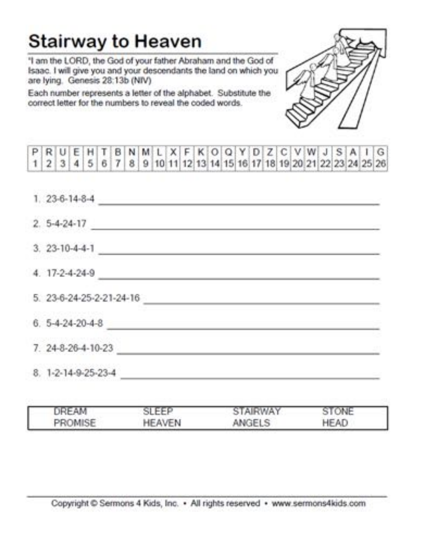## **Stairway to Heaven**

"I am the LORD, the God of your father Abraham and the God of Isaac. I will give you and your descendants the land on which you are lying. Genesis 28:13b (NIV)

Each number represents a letter of the alphabet. Substitute the correct letter for the numbers to reveal the coded words.

|  |  | PRUEHTBNMLXFKOQYDZCVWJSAIG                                           |  |  |  |  |  |  |  |  |  |  |  |
|--|--|----------------------------------------------------------------------|--|--|--|--|--|--|--|--|--|--|--|
|  |  | 1 2 3 4 5 6 7 8 9 10 11 12 13 14 15 16 17 18 19 20 21 22 23 24 25 26 |  |  |  |  |  |  |  |  |  |  |  |

| 1. 23-6-14-8-4                                                                                                                               |
|----------------------------------------------------------------------------------------------------------------------------------------------|
| $2.5 - 4 - 24 - 17$<br><u> Louis Communication (Communication Communication Communication Communication Communication Communication (Com</u> |
| $3.23 - 10 - 4 - 4 - 1$                                                                                                                      |
| 4. 17-2-4-24-9                                                                                                                               |
| 5. 23-6-24-25-2-21-24-16                                                                                                                     |
| $6.5 - 4 - 24 - 20 - 4 - 8$                                                                                                                  |
| 7. 24-8-26-4-10-23                                                                                                                           |
| 8. 1-2-14-9-25-23-4                                                                                                                          |

| JREAM   | SLEEP  | <b>STAIRWAY</b> | STONE       |
|---------|--------|-----------------|-------------|
| PROMISE | HEAVEN | ANGELS          | <b>HEAD</b> |

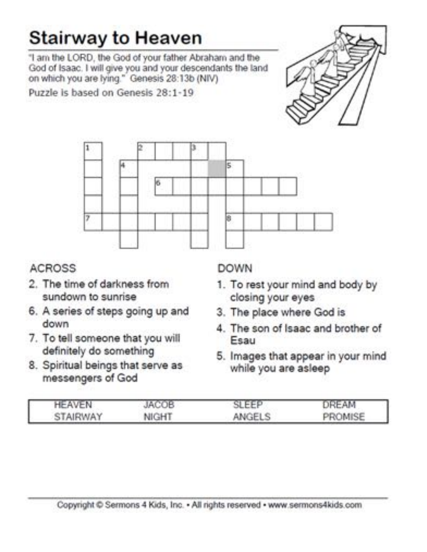# **Stairway to Heaven**

"I am the LORD, the God of your father Abraham and the God of Isaac. I will give you and your descendants the land on which you are lying." Genesis 28:13b (NIV)

Puzzle is based on Genesis 28:1-19





## **ACROSS**

- 2. The time of darkness from sundown to sunrise
- 6. A series of steps going up and down
- 7. To tell someone that you will definitely do something
- 8. Spiritual beings that serve as messengers of God

### **DOWN**

- 1. To rest your mind and body by closing your eyes
- 3. The place where God is
- 4. The son of Isaac and brother of Esau
- 5. Images that appear in your mind while you are asleep

| <b>HEAVEN</b> | <b>JACOB</b> | SLEEP<br>ч. | DREAM   |
|---------------|--------------|-------------|---------|
| STAIRWAY      | <b>NIGHT</b> | ANGELS      | PROMISE |